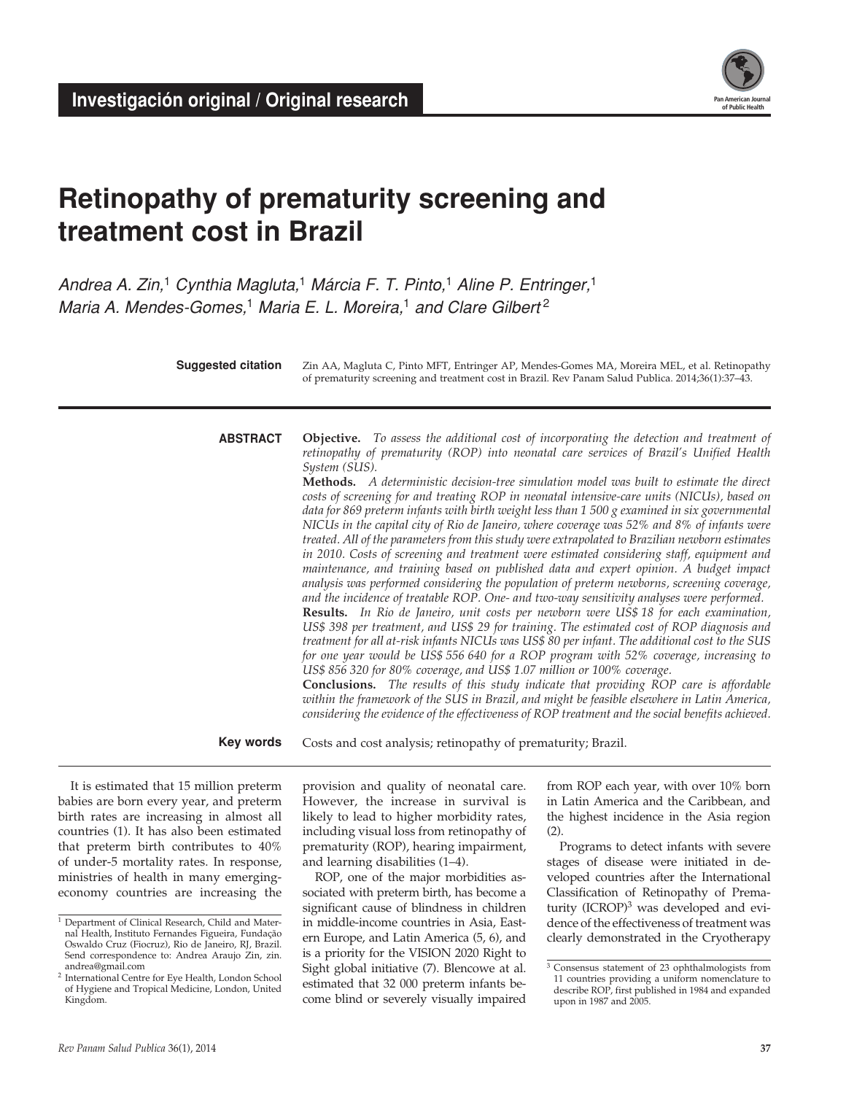

# **Retinopathy of prematurity screening and treatment cost in Brazil**

*Andrea A. Zin,*1 *Cynthia Magluta,*1 *Márcia F. T. Pinto,*1 *Aline P. Entringer,*<sup>1</sup> *Maria A. Mendes-Gomes,*1 *Maria E. L. Moreira,*1 *and Clare Gilbert* <sup>2</sup>

> Zin AA, Magluta C, Pinto MFT, Entringer AP, Mendes-Gomes MA, Moreira MEL, et al. Retinopathy of prematurity screening and treatment cost in Brazil. Rev Panam Salud Publica. 2014;36(1):37–43. **Suggested citation**

**abstract**

**Objective.** *To assess the additional cost of incorporating the detection and treatment of retinopathy of prematurity (ROP) into neonatal care services of Brazil's Unified Health System (SUS).* 

**Methods.** *A deterministic decision-tree simulation model was built to estimate the direct costs of screening for and treating ROP in neonatal intensive-care units (NICUs), based on data for 869 preterm infants with birth weight less than 1 500 g examined in six governmental NICUs in the capital city of Rio de Janeiro, where coverage was 52% and 8% of infants were treated. All of the parameters from this study were extrapolated to Brazilian newborn estimates in 2010. Costs of screening and treatment were estimated considering staff, equipment and maintenance, and training based on published data and expert opinion. A budget impact analysis was performed considering the population of preterm newborns, screening coverage, and the incidence of treatable ROP. One- and two-way sensitivity analyses were performed.*  **Results.** *In Rio de Janeiro, unit costs per newborn were US\$ 18 for each examination, US\$ 398 per treatment, and US\$ 29 for training. The estimated cost of ROP diagnosis and treatment for all at-risk infants NICUs was US\$ 80 per infant. The additional cost to the SUS for one year would be US\$ 556 640 for a ROP program with 52% coverage, increasing to* 

*US\$ 856 320 for 80% coverage, and US\$ 1.07 million or 100% coverage.*  **Conclusions.** *The results of this study indicate that providing ROP care is affordable within the framework of the SUS in Brazil, and might be feasible elsewhere in Latin America, considering the evidence of the effectiveness of ROP treatment and the social benefits achieved.* 

Costs and cost analysis; retinopathy of prematurity; Brazil. **Key words**

It is estimated that 15 million preterm babies are born every year, and preterm birth rates are increasing in almost all countries (1). It has also been estimated that preterm birth contributes to 40% of under-5 mortality rates. In response, ministries of health in many emergingeconomy countries are increasing the

provision and quality of neonatal care. However, the increase in survival is likely to lead to higher morbidity rates, including visual loss from retinopathy of prematurity (ROP), hearing impairment, and learning disabilities (1–4).

ROP, one of the major morbidities associated with preterm birth, has become a significant cause of blindness in children in middle-income countries in Asia, Eastern Europe, and Latin America (5, 6), and is a priority for the VISION 2020 Right to Sight global initiative (7). Blencowe at al. estimated that 32 000 preterm infants become blind or severely visually impaired from ROP each year, with over 10% born in Latin America and the Caribbean, and the highest incidence in the Asia region  $(2)$ .

Programs to detect infants with severe stages of disease were initiated in developed countries after the International Classification of Retinopathy of Prematurity  $(ICROP)<sup>3</sup>$  was developed and evidence of the effectiveness of treatment was clearly demonstrated in the Cryotherapy

<sup>&</sup>lt;sup>1</sup> Department of Clinical Research, Child and Maternal Health, Instituto Fernandes Figueira, Fundação Oswaldo Cruz (Fiocruz), Rio de Janeiro, RJ, Brazil. Send correspondence to: Andrea Araujo Zin, zin. andrea@gmail.com

<sup>2</sup> International Centre for Eye Health, London School of Hygiene and Tropical Medicine, London, United Kingdom.

<sup>3</sup> Consensus statement of 23 ophthalmologists from 11 countries providing a uniform nomenclature to describe ROP, first published in 1984 and expanded upon in 1987 and 2005.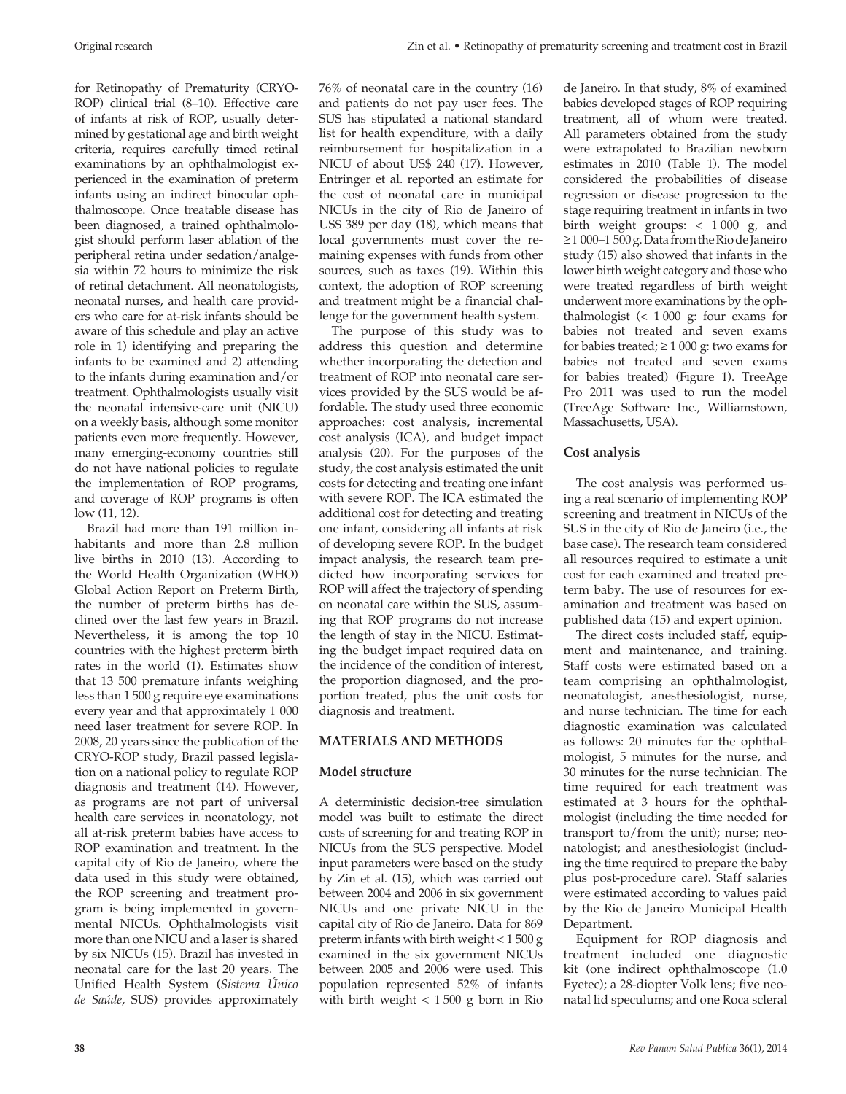for Retinopathy of Prematurity (CRYO-ROP) clinical trial (8–10). Effective care of infants at risk of ROP, usually determined by gestational age and birth weight criteria, requires carefully timed retinal examinations by an ophthalmologist experienced in the examination of preterm infants using an indirect binocular ophthalmoscope. Once treatable disease has been diagnosed, a trained ophthalmologist should perform laser ablation of the peripheral retina under sedation/analgesia within 72 hours to minimize the risk of retinal detachment. All neonatologists, neonatal nurses, and health care providers who care for at-risk infants should be aware of this schedule and play an active role in 1) identifying and preparing the infants to be examined and 2) attending to the infants during examination and/or treatment. Ophthalmologists usually visit the neonatal intensive-care unit (NICU) on a weekly basis, although some monitor patients even more frequently. However, many emerging-economy countries still do not have national policies to regulate the implementation of ROP programs, and coverage of ROP programs is often low (11, 12).

Brazil had more than 191 million inhabitants and more than 2.8 million live births in 2010 (13). According to the World Health Organization (WHO) Global Action Report on Preterm Birth*,*  the number of preterm births has declined over the last few years in Brazil. Nevertheless, it is among the top 10 countries with the highest preterm birth rates in the world (1). Estimates show that 13 500 premature infants weighing less than 1 500 g require eye examinations every year and that approximately 1 000 need laser treatment for severe ROP. In 2008, 20 years since the publication of the CRYO-ROP study, Brazil passed legislation on a national policy to regulate ROP diagnosis and treatment (14). However, as programs are not part of universal health care services in neonatology, not all at-risk preterm babies have access to ROP examination and treatment. In the capital city of Rio de Janeiro, where the data used in this study were obtained, the ROP screening and treatment program is being implemented in governmental NICUs. Ophthalmologists visit more than one NICU and a laser is shared by six NICUs (15). Brazil has invested in neonatal care for the last 20 years. The Unified Health System (*Sistema Único de Saúde*, SUS) provides approximately

76% of neonatal care in the country (16) and patients do not pay user fees. The SUS has stipulated a national standard list for health expenditure, with a daily reimbursement for hospitalization in a NICU of about US\$ 240 (17). However, Entringer et al. reported an estimate for the cost of neonatal care in municipal NICUs in the city of Rio de Janeiro of US\$ 389 per day (18), which means that local governments must cover the remaining expenses with funds from other sources, such as taxes (19). Within this context, the adoption of ROP screening and treatment might be a financial challenge for the government health system.

The purpose of this study was to address this question and determine whether incorporating the detection and treatment of ROP into neonatal care services provided by the SUS would be affordable. The study used three economic approaches: cost analysis, incremental cost analysis (ICA), and budget impact analysis (20). For the purposes of the study, the cost analysis estimated the unit costs for detecting and treating one infant with severe ROP. The ICA estimated the additional cost for detecting and treating one infant, considering all infants at risk of developing severe ROP. In the budget impact analysis, the research team predicted how incorporating services for ROP will affect the trajectory of spending on neonatal care within the SUS, assuming that ROP programs do not increase the length of stay in the NICU. Estimating the budget impact required data on the incidence of the condition of interest, the proportion diagnosed, and the proportion treated, plus the unit costs for diagnosis and treatment.

# **MATERIALS AND METHODS**

# **Model structure**

A deterministic decision-tree simulation model was built to estimate the direct costs of screening for and treating ROP in NICUs from the SUS perspective. Model input parameters were based on the study by Zin et al. (15), which was carried out between 2004 and 2006 in six government NICUs and one private NICU in the capital city of Rio de Janeiro. Data for 869 preterm infants with birth weight < 1 500 g examined in the six government NICUs between 2005 and 2006 were used. This population represented 52% of infants with birth weight < 1 500 g born in Rio

de Janeiro. In that study, 8% of examined babies developed stages of ROP requiring treatment, all of whom were treated. All parameters obtained from the study were extrapolated to Brazilian newborn estimates in 2010 (Table 1). The model considered the probabilities of disease regression or disease progression to the stage requiring treatment in infants in two birth weight groups: < 1 000 g, and ≥ 1 000–1 500 g. Data from the Rio de Janeiro study (15) also showed that infants in the lower birth weight category and those who were treated regardless of birth weight underwent more examinations by the ophthalmologist  $( $1000 \text{ g}$ : four exams for$ babies not treated and seven exams for babies treated;  $\geq 1000$  g: two exams for babies not treated and seven exams for babies treated) (Figure 1). TreeAge Pro 2011 was used to run the model (TreeAge Software Inc., Williamstown, Massachusetts, USA).

# **Cost analysis**

The cost analysis was performed using a real scenario of implementing ROP screening and treatment in NICUs of the SUS in the city of Rio de Janeiro (i.e., the base case). The research team considered all resources required to estimate a unit cost for each examined and treated preterm baby. The use of resources for examination and treatment was based on published data (15) and expert opinion.

The direct costs included staff, equipment and maintenance, and training. Staff costs were estimated based on a team comprising an ophthalmologist, neonatologist, anesthesiologist, nurse, and nurse technician. The time for each diagnostic examination was calculated as follows: 20 minutes for the ophthalmologist, 5 minutes for the nurse, and 30 minutes for the nurse technician. The time required for each treatment was estimated at 3 hours for the ophthalmologist (including the time needed for transport to/from the unit); nurse; neonatologist; and anesthesiologist (including the time required to prepare the baby plus post-procedure care). Staff salaries were estimated according to values paid by the Rio de Janeiro Municipal Health Department.

Equipment for ROP diagnosis and treatment included one diagnostic kit (one indirect ophthalmoscope (1.0 Eyetec); a 28-diopter Volk lens; five neonatal lid speculums; and one Roca scleral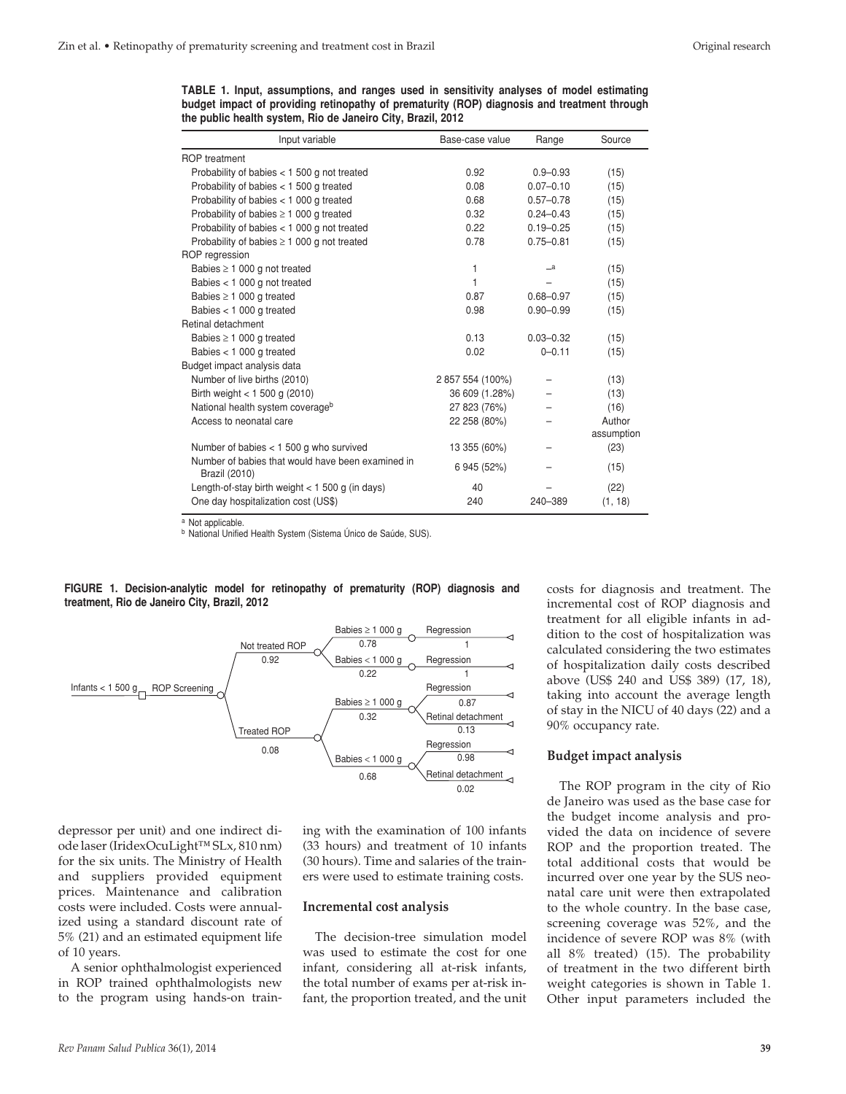**TABLE 1. Input, assumptions, and ranges used in sensitivity analyses of model estimating budget impact of providing retinopathy of prematurity (ROP) diagnosis and treatment through the public health system, Rio de Janeiro City, Brazil, 2012**

| Input variable                                                            | Base-case value  | Range         | Source     |
|---------------------------------------------------------------------------|------------------|---------------|------------|
| <b>ROP</b> treatment                                                      |                  |               |            |
| Probability of babies $<$ 1 500 g not treated                             | 0.92             | $0.9 - 0.93$  | (15)       |
| Probability of babies $<$ 1 500 g treated                                 | 0.08             | $0.07 - 0.10$ | (15)       |
| Probability of babies $<$ 1 000 g treated                                 | 0.68             | $0.57 - 0.78$ | (15)       |
| Probability of babies $\geq 1000$ g treated                               | 0.32             | $0.24 - 0.43$ | (15)       |
| Probability of babies $<$ 1 000 g not treated                             | 0.22             | $0.19 - 0.25$ | (15)       |
| Probability of babies $\geq 1000$ g not treated                           | 0.78             | $0.75 - 0.81$ | (15)       |
| ROP regression                                                            |                  |               |            |
| Babies $\geq 1000$ g not treated                                          | 1                | $\equiv$ a    | (15)       |
| Babies $<$ 1 000 g not treated                                            | 1                |               | (15)       |
| Babies $\geq 1000$ g treated                                              | 0.87             | $0.68 - 0.97$ | (15)       |
| Babies $<$ 1 000 g treated                                                | 0.98             | $0.90 - 0.99$ | (15)       |
| Retinal detachment                                                        |                  |               |            |
| Babies $\geq 1000$ g treated                                              | 0.13             | $0.03 - 0.32$ | (15)       |
| Babies $<$ 1 000 g treated                                                | 0.02             | $0 - 0.11$    | (15)       |
| Budget impact analysis data                                               |                  |               |            |
| Number of live births (2010)                                              | 2 857 554 (100%) |               | (13)       |
| Birth weight $<$ 1 500 g (2010)                                           | 36 609 (1.28%)   |               | (13)       |
| National health system coverageb                                          | 27 823 (76%)     |               | (16)       |
| Access to neonatal care                                                   | 22 258 (80%)     |               | Author     |
|                                                                           |                  |               | assumption |
| Number of babies $<$ 1 500 g who survived                                 | 13 355 (60%)     |               | (23)       |
| Number of babies that would have been examined in<br><b>Brazil (2010)</b> | 6 945 (52%)      |               | (15)       |
| Length-of-stay birth weight $<$ 1 500 g (in days)                         | 40               |               | (22)       |
| One day hospitalization cost (US\$)                                       | 240              | 240-389       | (1, 18)    |

a Not applicable.

<sup>b</sup> National Unified Health System (Sistema Único de Saúde, SUS).





depressor per unit) and one indirect diode laser (IridexOcuLight™ SLx, 810 nm) for the six units. The Ministry of Health and suppliers provided equipment prices. Maintenance and calibration costs were included. Costs were annualized using a standard discount rate of 5% (21) and an estimated equipment life of 10 years.

A senior ophthalmologist experienced in ROP trained ophthalmologists new to the program using hands-on training with the examination of 100 infants (33 hours) and treatment of 10 infants (30 hours). Time and salaries of the trainers were used to estimate training costs.

#### **Incremental cost analysis**

The decision-tree simulation model was used to estimate the cost for one infant, considering all at-risk infants, the total number of exams per at-risk infant, the proportion treated, and the unit

costs for diagnosis and treatment. The incremental cost of ROP diagnosis and treatment for all eligible infants in addition to the cost of hospitalization was calculated considering the two estimates of hospitalization daily costs described above (US\$ 240 and US\$ 389) (17, 18), taking into account the average length of stay in the NICU of 40 days (22) and a 90% occupancy rate.

#### **Budget impact analysis**

The ROP program in the city of Rio de Janeiro was used as the base case for the budget income analysis and provided the data on incidence of severe ROP and the proportion treated. The total additional costs that would be incurred over one year by the SUS neonatal care unit were then extrapolated to the whole country. In the base case, screening coverage was 52%, and the incidence of severe ROP was 8% (with all 8% treated) (15). The probability of treatment in the two different birth weight categories is shown in Table 1. Other input parameters included the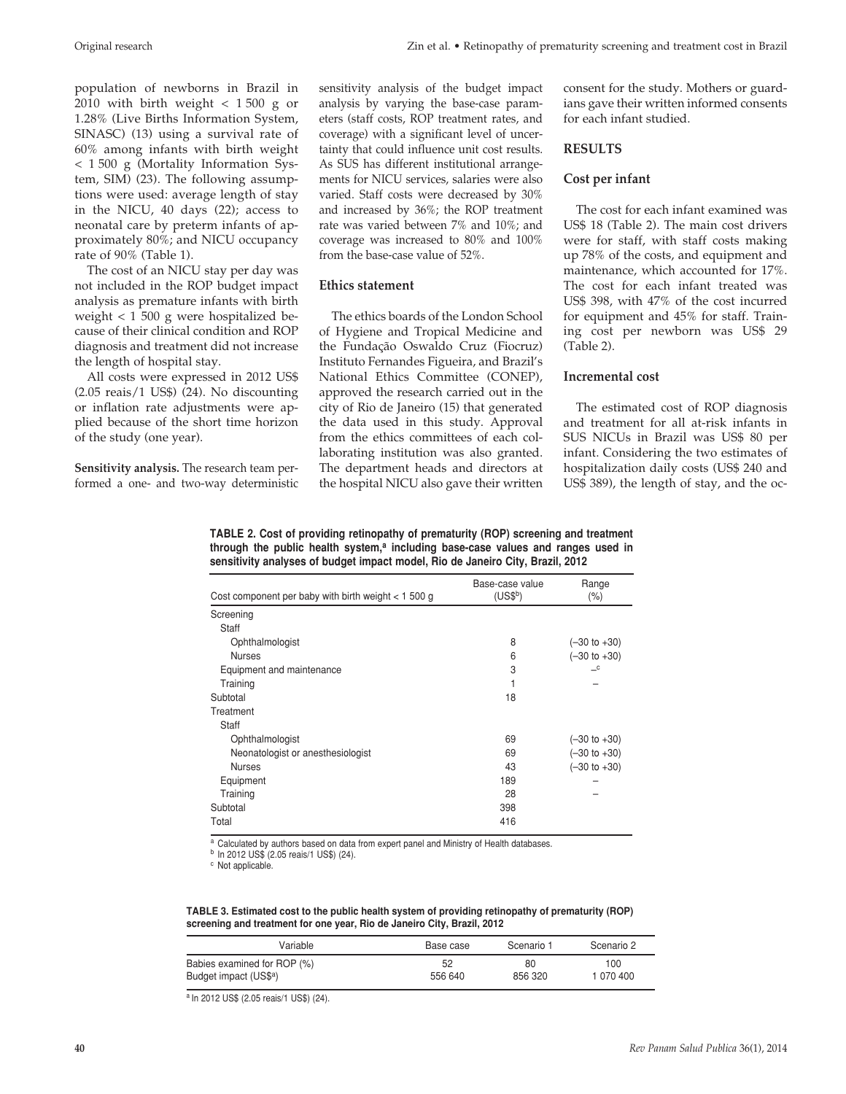population of newborns in Brazil in 2010 with birth weight  $<$  1500 g or 1.28% (Live Births Information System, SINASC) (13) using a survival rate of 60% among infants with birth weight < 1 500 g (Mortality Information System, SIM) (23). The following assumptions were used: average length of stay in the NICU, 40 days (22); access to neonatal care by preterm infants of approximately 80%; and NICU occupancy rate of 90% (Table 1).

The cost of an NICU stay per day was not included in the ROP budget impact analysis as premature infants with birth weight < 1 500 g were hospitalized because of their clinical condition and ROP diagnosis and treatment did not increase the length of hospital stay.

All costs were expressed in 2012 US\$ (2.05 reais/1 US\$) (24). No discounting or inflation rate adjustments were applied because of the short time horizon of the study (one year).

**Sensitivity analysis.** The research team performed a one- and two-way deterministic sensitivity analysis of the budget impact analysis by varying the base-case parameters (staff costs, ROP treatment rates, and coverage) with a significant level of uncertainty that could influence unit cost results. As SUS has different institutional arrangements for NICU services, salaries were also varied. Staff costs were decreased by 30% and increased by 36%; the ROP treatment rate was varied between 7% and 10%; and coverage was increased to 80% and 100% from the base-case value of 52%.

#### **Ethics statement**

The ethics boards of the London School of Hygiene and Tropical Medicine and the Fundação Oswaldo Cruz (Fiocruz) Instituto Fernandes Figueira, and Brazil's National Ethics Committee (CONEP), approved the research carried out in the city of Rio de Janeiro (15) that generated the data used in this study. Approval from the ethics committees of each collaborating institution was also granted. The department heads and directors at the hospital NICU also gave their written consent for the study. Mothers or guardians gave their written informed consents for each infant studied.

#### **RESULTS**

#### **Cost per infant**

The cost for each infant examined was US\$ 18 (Table 2). The main cost drivers were for staff, with staff costs making up 78% of the costs, and equipment and maintenance, which accounted for 17%. The cost for each infant treated was US\$ 398, with 47% of the cost incurred for equipment and 45% for staff. Training cost per newborn was US\$ 29 (Table 2).

#### **Incremental cost**

The estimated cost of ROP diagnosis and treatment for all at-risk infants in SUS NICUs in Brazil was US\$ 80 per infant. Considering the two estimates of hospitalization daily costs (US\$ 240 and US\$ 389), the length of stay, and the oc-

**Table 2. Cost of providing retinopathy of prematurity (ROP) screening and treatment through the public health system,a including base-case values and ranges used in sensitivity analyses of budget impact model, Rio de Janeiro City, Brazil, 2012**

| Cost component per baby with birth weight $<$ 1 500 g | Base-case value<br>$(US$^b)$ | Range<br>$(\% )$        |
|-------------------------------------------------------|------------------------------|-------------------------|
| Screening                                             |                              |                         |
| Staff                                                 |                              |                         |
| Ophthalmologist                                       | 8                            | $(-30 \text{ to } +30)$ |
| <b>Nurses</b>                                         | 6                            | $(-30 \text{ to } +30)$ |
| Equipment and maintenance                             | 3                            | $\mathsf{-c}$           |
| Training                                              |                              |                         |
| Subtotal                                              | 18                           |                         |
| Treatment                                             |                              |                         |
| Staff                                                 |                              |                         |
| Ophthalmologist                                       | 69                           | $(-30 \text{ to } +30)$ |
| Neonatologist or anesthesiologist                     | 69                           | $(-30 \text{ to } +30)$ |
| <b>Nurses</b>                                         | 43                           | $(-30 \text{ to } +30)$ |
| Equipment                                             | 189                          |                         |
| Training                                              | 28                           |                         |
| Subtotal                                              | 398                          |                         |
| Total                                                 | 416                          |                         |

a Calculated by authors based on data from expert panel and Ministry of Health databases.

<sup>b</sup> In 2012 US\$ (2.05 reais/1 US\$) (24).

c Not applicable.

**TABLE 3. Estimated cost to the public health system of providing retinopathy of prematurity (ROP) screening and treatment for one year, Rio de Janeiro City, Brazil, 2012**

| Variable                    | Base case | Scenario 1 | Scenario 2 |
|-----------------------------|-----------|------------|------------|
| Babies examined for ROP (%) | 52        | 80         | 100        |
| Budget impact (US\$a)       | 556 640   | 856 320    | 1 070 400  |

a In 2012 US\$ (2.05 reais/1 US\$) (24).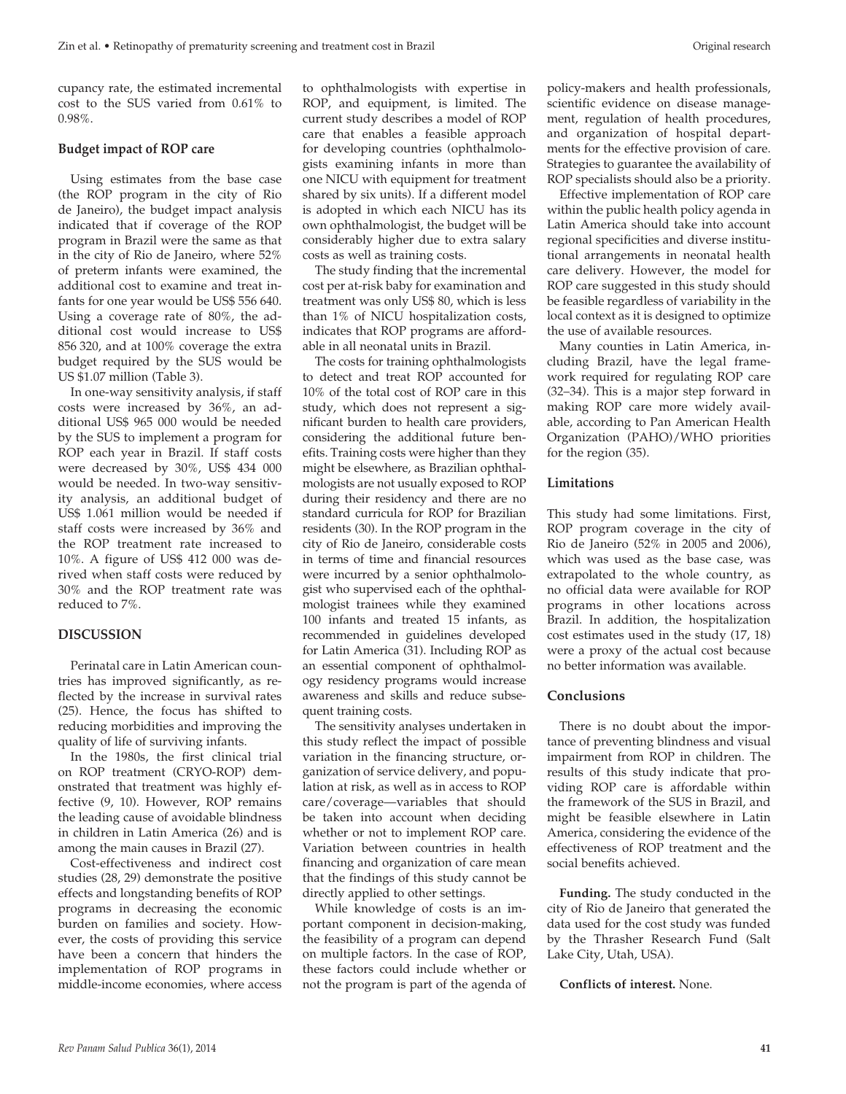cupancy rate, the estimated incremental cost to the SUS varied from 0.61% to 0.98%.

#### **Budget impact of ROP care**

Using estimates from the base case (the ROP program in the city of Rio de Janeiro), the budget impact analysis indicated that if coverage of the ROP program in Brazil were the same as that in the city of Rio de Janeiro, where 52% of preterm infants were examined, the additional cost to examine and treat infants for one year would be US\$ 556 640. Using a coverage rate of 80%, the additional cost would increase to US\$ 856 320, and at 100% coverage the extra budget required by the SUS would be US \$1.07 million (Table 3).

In one-way sensitivity analysis, if staff costs were increased by 36%, an additional US\$ 965 000 would be needed by the SUS to implement a program for ROP each year in Brazil. If staff costs were decreased by 30%, US\$ 434 000 would be needed. In two-way sensitivity analysis, an additional budget of US\$ 1.061 million would be needed if staff costs were increased by 36% and the ROP treatment rate increased to 10%. A figure of US\$ 412 000 was derived when staff costs were reduced by 30% and the ROP treatment rate was reduced to 7%.

#### **DISCUSSION**

Perinatal care in Latin American countries has improved significantly, as reflected by the increase in survival rates (25). Hence, the focus has shifted to reducing morbidities and improving the quality of life of surviving infants.

In the 1980s, the first clinical trial on ROP treatment (CRYO-ROP) demonstrated that treatment was highly effective (9, 10). However, ROP remains the leading cause of avoidable blindness in children in Latin America (26) and is among the main causes in Brazil (27).

Cost-effectiveness and indirect cost studies (28, 29) demonstrate the positive effects and longstanding benefits of ROP programs in decreasing the economic burden on families and society. However, the costs of providing this service have been a concern that hinders the implementation of ROP programs in middle-income economies, where access

to ophthalmologists with expertise in ROP, and equipment, is limited. The current study describes a model of ROP care that enables a feasible approach for developing countries (ophthalmologists examining infants in more than one NICU with equipment for treatment shared by six units). If a different model is adopted in which each NICU has its own ophthalmologist, the budget will be considerably higher due to extra salary costs as well as training costs.

The study finding that the incremental cost per at-risk baby for examination and treatment was only US\$ 80, which is less than 1% of NICU hospitalization costs, indicates that ROP programs are affordable in all neonatal units in Brazil.

The costs for training ophthalmologists to detect and treat ROP accounted for 10% of the total cost of ROP care in this study, which does not represent a significant burden to health care providers, considering the additional future benefits. Training costs were higher than they might be elsewhere, as Brazilian ophthalmologists are not usually exposed to ROP during their residency and there are no standard curricula for ROP for Brazilian residents (30). In the ROP program in the city of Rio de Janeiro, considerable costs in terms of time and financial resources were incurred by a senior ophthalmologist who supervised each of the ophthalmologist trainees while they examined 100 infants and treated 15 infants, as recommended in guidelines developed for Latin America (31). Including ROP as an essential component of ophthalmology residency programs would increase awareness and skills and reduce subsequent training costs.

The sensitivity analyses undertaken in this study reflect the impact of possible variation in the financing structure, organization of service delivery, and population at risk, as well as in access to ROP care/coverage—variables that should be taken into account when deciding whether or not to implement ROP care. Variation between countries in health financing and organization of care mean that the findings of this study cannot be directly applied to other settings.

While knowledge of costs is an important component in decision-making, the feasibility of a program can depend on multiple factors. In the case of ROP, these factors could include whether or not the program is part of the agenda of policy-makers and health professionals, scientific evidence on disease management, regulation of health procedures, and organization of hospital departments for the effective provision of care. Strategies to guarantee the availability of ROP specialists should also be a priority.

Effective implementation of ROP care within the public health policy agenda in Latin America should take into account regional specificities and diverse institutional arrangements in neonatal health care delivery. However, the model for ROP care suggested in this study should be feasible regardless of variability in the local context as it is designed to optimize the use of available resources.

Many counties in Latin America, including Brazil, have the legal framework required for regulating ROP care (32–34). This is a major step forward in making ROP care more widely available, according to Pan American Health Organization (PAHO)/WHO priorities for the region (35).

#### **Limitations**

This study had some limitations. First, ROP program coverage in the city of Rio de Janeiro (52% in 2005 and 2006), which was used as the base case, was extrapolated to the whole country, as no official data were available for ROP programs in other locations across Brazil. In addition, the hospitalization cost estimates used in the study (17, 18) were a proxy of the actual cost because no better information was available.

#### **Conclusions**

There is no doubt about the importance of preventing blindness and visual impairment from ROP in children. The results of this study indicate that providing ROP care is affordable within the framework of the SUS in Brazil, and might be feasible elsewhere in Latin America, considering the evidence of the effectiveness of ROP treatment and the social benefits achieved.

**Funding.** The study conducted in the city of Rio de Janeiro that generated the data used for the cost study was funded by the Thrasher Research Fund (Salt Lake City, Utah, USA).

**Conflicts of interest.** None.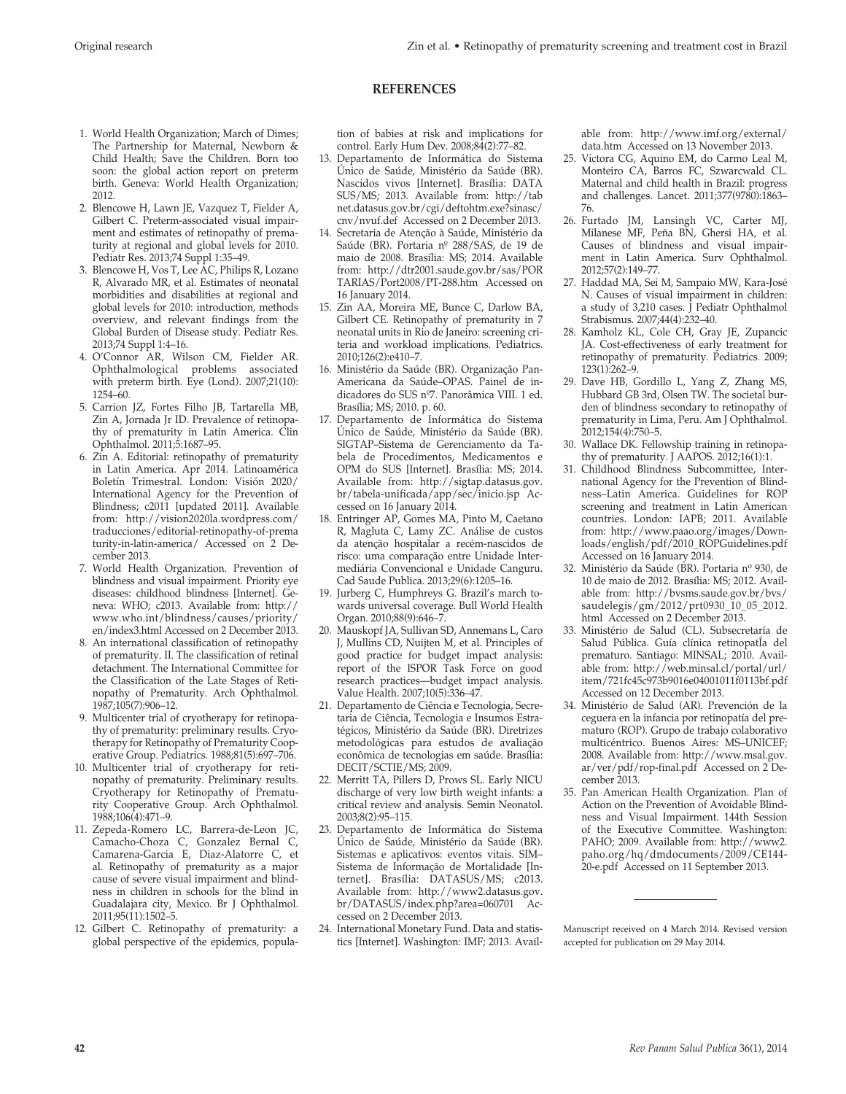#### **REFERENCES**

- 1. World Health Organization; March of Dimes; The Partnership for Maternal, Newborn & Child Health; Save the Children. Born too soon: the global action report on preterm birth. Geneva: World Health Organization; 2012.
- 2. Blencowe H, Lawn JE, Vazquez T, Fielder A, Gilbert C. Preterm-associated visual impairment and estimates of retinopathy of prematurity at regional and global levels for 2010. Pediatr Res. 2013;74 Suppl 1:35–49.
- 3. Blencowe H, Vos T, Lee AC, Philips R, Lozano R, Alvarado MR, et al. Estimates of neonatal morbidities and disabilities at regional and global levels for 2010: introduction, methods overview, and relevant findings from the Global Burden of Disease study. Pediatr Res. 2013;74 Suppl 1:4–16.
- 4. O'Connor AR, Wilson CM, Fielder AR. Ophthalmological problems associated with preterm birth. Eye (Lond). 2007;21(10): 1254–60.
- 5. Carrion JZ, Fortes Filho JB, Tartarella MB, Zin A, Jornada Jr ID. Prevalence of retinopathy of prematurity in Latin America. Clin Ophthalmol. 2011;5:1687–95.
- 6. Zin A. Editorial: retinopathy of prematurity in Latin America. Apr 2014. Latinoamérica Boletín Trimestral. London: Visión 2020/ International Agency for the Prevention of Blindness; c2011 [updated 2011]. Available from: http://vision2020la.wordpress.com/ traducciones/editorial-retinopathy-of-prema turity-in-latin-america/ Accessed on 2 December 2013.
- 7. World Health Organization. Prevention of blindness and visual impairment. Priority eye diseases: childhood blindness [Internet]. Geneva: WHO; c2013. Available from: http:// www.who.int/blindness/causes/priority/ en/index3.html Accessed on 2 December 2013.
- 8. An international classification of retinopathy of prematurity. II. The classification of retinal detachment. The International Committee for the Classification of the Late Stages of Retinopathy of Prematurity. Arch Ophthalmol. 1987;105(7):906–12.
- 9. Multicenter trial of cryotherapy for retinopathy of prematurity: preliminary results. Cryotherapy for Retinopathy of Prematurity Cooperative Group. Pediatrics. 1988;81(5):697–706.
- 10. Multicenter trial of cryotherapy for retinopathy of prematurity. Preliminary results. Cryotherapy for Retinopathy of Prematurity Cooperative Group. Arch Ophthalmol. 1988;106(4):471–9.
- 11. Zepeda-Romero LC, Barrera-de-Leon JC, Camacho-Choza C, Gonzalez Bernal C, Camarena-Garcia E, Diaz-Alatorre C, et al. Retinopathy of prematurity as a major cause of severe visual impairment and blindness in children in schools for the blind in Guadalajara city, Mexico. Br J Ophthalmol. 2011;95(11):1502–5.
- 12. Gilbert C. Retinopathy of prematurity: a global perspective of the epidemics, popula-

tion of babies at risk and implications for control. Early Hum Dev. 2008;84(2):77–82.

- 13. Departamento de Informática do Sistema Único de Saúde, Ministério da Saúde (BR). Nascidos vivos [Internet]. Brasília: DATA SUS/MS; 2013. Available from: http://tab net.datasus.gov.br/cgi/deftohtm.exe?sinasc/ cnv/nvuf.def Accessed on 2 December 2013.
- 14. Secretaria de Atenção à Saúde, Ministério da Saúde (BR). Portaria nº 288/SAS, de 19 de maio de 2008. Brasília: MS; 2014. Available from: http://dtr2001.saude.gov.br/sas/POR TARIAS/Port2008/PT-288.htm Accessed on 16 January 2014.
- 15. Zin AA, Moreira ME, Bunce C, Darlow BA, Gilbert CE. Retinopathy of prematurity in 7 neonatal units in Rio de Janeiro: screening criteria and workload implications. Pediatrics. 2010;126(2):e410–7.
- 16. Ministério da Saúde (BR). Organização Pan-Americana da Saúde–OPAS. Painel de indicadores do SUS nº7. Panorâmica VIII. 1 ed. Brasília; MS; 2010. p. 60.
- 17. Departamento de Informática do Sistema Único de Saúde, Ministério da Saúde (BR). SIGTAP–Sistema de Gerenciamento da Tabela de Procedimentos, Medicamentos e OPM do SUS [Internet]. Brasília: MS; 2014. Available from: http://sigtap.datasus.gov. br/tabela-unificada/app/sec/inicio.jsp Accessed on 16 January 2014.
- 18. Entringer AP, Gomes MA, Pinto M, Caetano R, Magluta C, Lamy ZC. Análise de custos da atenção hospitalar a recém-nascidos de risco: uma comparação entre Unidade Intermediária Convencional e Unidade Canguru. Cad Saude Publica. 2013;29(6):1205–16.
- 19. Jurberg C, Humphreys G. Brazil's march towards universal coverage. Bull World Health Organ. 2010;88(9):646–7.
- 20. Mauskopf JA, Sullivan SD, Annemans L, Caro J, Mullins CD, Nuijten M, et al. Principles of good practice for budget impact analysis: report of the ISPOR Task Force on good research practices—budget impact analysis. Value Health. 2007;10(5):336–47.
- 21. Departamento de Ciência e Tecnologia, Secretaria de Ciência, Tecnologia e Insumos Estratégicos, Ministério da Saúde (BR). Diretrizes metodológicas para estudos de avaliação econômica de tecnologias em saúde. Brasília: DECIT/SCTIE/MS; 2009.
- 22. Merritt TA, Pillers D, Prows SL. Early NICU discharge of very low birth weight infants: a critical review and analysis. Semin Neonatol. 2003;8(2):95–115.
- 23. Departamento de Informática do Sistema Único de Saúde, Ministério da Saúde (BR). Sistemas e aplicativos: eventos vitais. SIM– Sistema de Informação de Mortalidade [Internet]. Brasília: DATASUS/MS; c2013. Available from: http://www2.datasus.gov. br/DATASUS/index.php?area=060701 Accessed on 2 December 2013.
- 24. International Monetary Fund. Data and statistics [Internet]. Washington: IMF; 2013. Avail-

able from: http://www.imf.org/external/ data.htm Accessed on 13 November 2013.

- 25. Victora CG, Aquino EM, do Carmo Leal M, Monteiro CA, Barros FC, Szwarcwald CL. Maternal and child health in Brazil: progress and challenges. Lancet. 2011;377(9780):1863– 76.
- 26. Furtado JM, Lansingh VC, Carter MJ, Milanese MF, Peña BN, Ghersi HA, et al. Causes of blindness and visual impairment in Latin America. Surv Ophthalmol. 2012;57(2):149–77.
- 27. Haddad MA, Sei M, Sampaio MW, Kara-José N. Causes of visual impairment in children: a study of 3,210 cases. J Pediatr Ophthalmol Strabismus. 2007;44(4):232–40.
- 28. Kamholz KL, Cole CH, Gray JE, Zupancic JA. Cost-effectiveness of early treatment for retinopathy of prematurity. Pediatrics. 2009; 123(1):262–9.
- 29. Dave HB, Gordillo L, Yang Z, Zhang MS, Hubbard GB 3rd, Olsen TW. The societal burden of blindness secondary to retinopathy of prematurity in Lima, Peru. Am J Ophthalmol. 2012;154(4):750–5.
- Wallace DK. Fellowship training in retinopathy of prematurity. J AAPOS. 2012;16(1):1.
- 31. Childhood Blindness Subcommittee, International Agency for the Prevention of Blindness–Latin America. Guidelines for ROP screening and treatment in Latin American countries. London: IAPB; 2011. Available from: http://www.paao.org/images/Downloads/english/pdf/2010\_ROPGuidelines.pdf Accessed on 16 January 2014.
- 32. Ministério da Saúde (BR). Portaria nº 930, de 10 de maio de 2012. Brasília: MS; 2012. Available from: http://bvsms.saude.gov.br/bvs/ saudelegis/gm/2012/prt0930\_10\_05\_2012. html Accessed on 2 December 2013.
- 33. Ministério de Salud (CL). Subsecretaría de Salud Pública. Guía clínica retinopatÍa del prematuro. Santiago: MINSAL; 2010. Available from: http://web.minsal.cl/portal/url/ item/721fc45c973b9016e04001011f0113bf.pdf Accessed on 12 December 2013.
- 34. Ministério de Salud (AR). Prevención de la ceguera en la infancia por retinopatía del prematuro (ROP). Grupo de trabajo colaborativo multicéntrico. Buenos Aires: MS–UNICEF; 2008. Available from: http://www.msal.gov. ar/ver/pdf/rop-final.pdf Accessed on 2 December 2013.
- 35. Pan American Health Organization. Plan of Action on the Prevention of Avoidable Blindness and Visual Impairment. 144th Session of the Executive Committee. Washington: PAHO; 2009. Available from: http://www2. paho.org/hq/dmdocuments/2009/CE144- 20-e.pdf Accessed on 11 September 2013.

Manuscript received on 4 March 2014. Revised version accepted for publication on 29 May 2014.